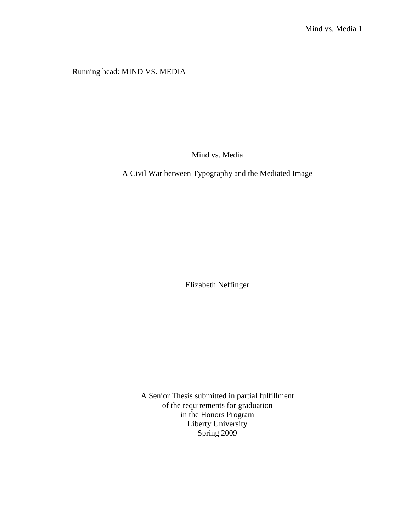Running head: MIND VS. MEDIA

Mind vs. Media

A Civil War between Typography and the Mediated Image

Elizabeth Neffinger

A Senior Thesis submitted in partial fulfillment of the requirements for graduation in the Honors Program Liberty University Spring 2009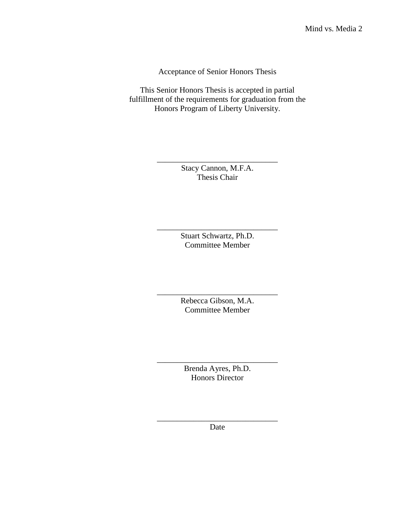Acceptance of Senior Honors Thesis

This Senior Honors Thesis is accepted in partial fulfillment of the requirements for graduation from the Honors Program of Liberty University.

> \_\_\_\_\_\_\_\_\_\_\_\_\_\_\_\_\_\_\_\_\_\_\_\_\_\_\_\_\_\_ Stacy Cannon, M.F.A. Thesis Chair

> > Stuart Schwartz, Ph.D. Committee Member

\_\_\_\_\_\_\_\_\_\_\_\_\_\_\_\_\_\_\_\_\_\_\_\_\_\_\_\_\_\_

\_\_\_\_\_\_\_\_\_\_\_\_\_\_\_\_\_\_\_\_\_\_\_\_\_\_\_\_\_\_ Rebecca Gibson, M.A. Committee Member

\_\_\_\_\_\_\_\_\_\_\_\_\_\_\_\_\_\_\_\_\_\_\_\_\_\_\_\_\_\_ Brenda Ayres, Ph.D. Honors Director

\_\_\_\_\_\_\_\_\_\_\_\_\_\_\_\_\_\_\_\_\_\_\_\_\_\_\_\_\_\_ Date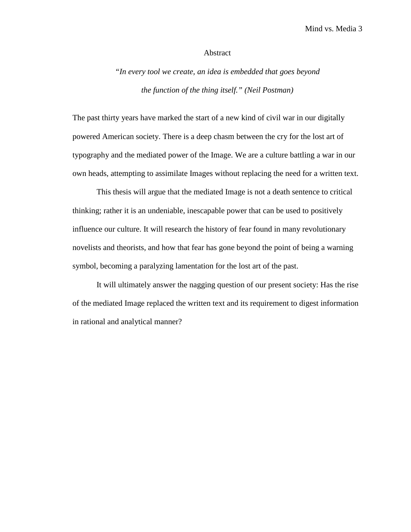#### Abstract

*"In every tool we create, an idea is embedded that goes beyond the function of the thing itself." (Neil Postman)* 

The past thirty years have marked the start of a new kind of civil war in our digitally powered American society. There is a deep chasm between the cry for the lost art of typography and the mediated power of the Image. We are a culture battling a war in our own heads, attempting to assimilate Images without replacing the need for a written text.

This thesis will argue that the mediated Image is not a death sentence to critical thinking; rather it is an undeniable, inescapable power that can be used to positively influence our culture. It will research the history of fear found in many revolutionary novelists and theorists, and how that fear has gone beyond the point of being a warning symbol, becoming a paralyzing lamentation for the lost art of the past.

It will ultimately answer the nagging question of our present society: Has the rise of the mediated Image replaced the written text and its requirement to digest information in rational and analytical manner?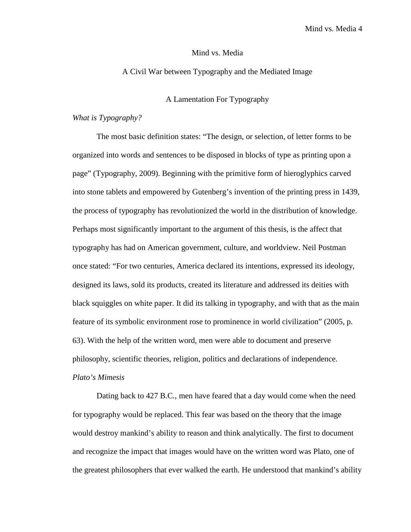## A Civil War between Typography and the Mediated Image

## A Lamentation For Typography

### *What is Typography?*

The most basic definition states: "The design, or selection, of letter forms to be organized into words and sentences to be disposed in blocks of type as printing upon a page" (Typography, 2009). Beginning with the primitive form of hieroglyphics carved into stone tablets and empowered by Gutenberg's invention of the printing press in 1439, the process of typography has revolutionized the world in the distribution of knowledge. Perhaps most significantly important to the argument of this thesis, is the affect that typography has had on American government, culture, and worldview. Neil Postman once stated: "For two centuries, America declared its intentions, expressed its ideology, designed its laws, sold its products, created its literature and addressed its deities with black squiggles on white paper. It did its talking in typography, and with that as the main feature of its symbolic environment rose to prominence in world civilization" (2005, p. 63). With the help of the written word, men were able to document and preserve philosophy, scientific theories, religion, politics and declarations of independence. *Plato's Mimesis* 

Dating back to 427 B.C., men have feared that a day would come when the need for typography would be replaced. This fear was based on the theory that the image would destroy mankind's ability to reason and think analytically. The first to document and recognize the impact that images would have on the written word was Plato, one of the greatest philosophers that ever walked the earth. He understood that mankind's ability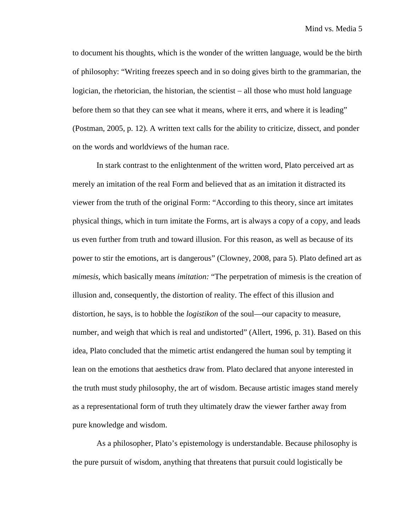to document his thoughts, which is the wonder of the written language, would be the birth of philosophy: "Writing freezes speech and in so doing gives birth to the grammarian, the logician, the rhetorician, the historian, the scientist − all those who must hold language before them so that they can see what it means, where it errs, and where it is leading" (Postman, 2005, p. 12). A written text calls for the ability to criticize, dissect, and ponder on the words and worldviews of the human race.

In stark contrast to the enlightenment of the written word, Plato perceived art as merely an imitation of the real Form and believed that as an imitation it distracted its viewer from the truth of the original Form: "According to this theory, since art imitates physical things, which in turn imitate the Forms, art is always a copy of a copy, and leads us even further from truth and toward illusion. For this reason, as well as because of its power to stir the emotions, art is dangerous" (Clowney, 2008, para 5). Plato defined art as *mimesis,* which basically means *imitation:* "The perpetration of mimesis is the creation of illusion and, consequently, the distortion of reality. The effect of this illusion and distortion, he says, is to hobble the *logistikon* of the soul—our capacity to measure, number, and weigh that which is real and undistorted" (Allert, 1996, p. 31). Based on this idea, Plato concluded that the mimetic artist endangered the human soul by tempting it lean on the emotions that aesthetics draw from. Plato declared that anyone interested in the truth must study philosophy, the art of wisdom. Because artistic images stand merely as a representational form of truth they ultimately draw the viewer farther away from pure knowledge and wisdom.

As a philosopher, Plato's epistemology is understandable. Because philosophy is the pure pursuit of wisdom, anything that threatens that pursuit could logistically be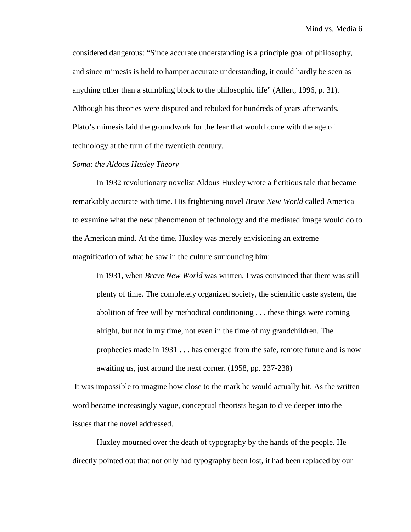considered dangerous: "Since accurate understanding is a principle goal of philosophy, and since mimesis is held to hamper accurate understanding, it could hardly be seen as anything other than a stumbling block to the philosophic life" (Allert, 1996, p. 31). Although his theories were disputed and rebuked for hundreds of years afterwards, Plato's mimesis laid the groundwork for the fear that would come with the age of technology at the turn of the twentieth century.

## *Soma: the Aldous Huxley Theory*

In 1932 revolutionary novelist Aldous Huxley wrote a fictitious tale that became remarkably accurate with time. His frightening novel *Brave New World* called America to examine what the new phenomenon of technology and the mediated image would do to the American mind. At the time, Huxley was merely envisioning an extreme magnification of what he saw in the culture surrounding him:

In 1931, when *Brave New World* was written, I was convinced that there was still plenty of time. The completely organized society, the scientific caste system, the abolition of free will by methodical conditioning . . . these things were coming alright, but not in my time, not even in the time of my grandchildren. The prophecies made in 1931 . . . has emerged from the safe, remote future and is now awaiting us, just around the next corner. (1958, pp. 237-238)

 It was impossible to imagine how close to the mark he would actually hit. As the written word became increasingly vague, conceptual theorists began to dive deeper into the issues that the novel addressed.

Huxley mourned over the death of typography by the hands of the people. He directly pointed out that not only had typography been lost, it had been replaced by our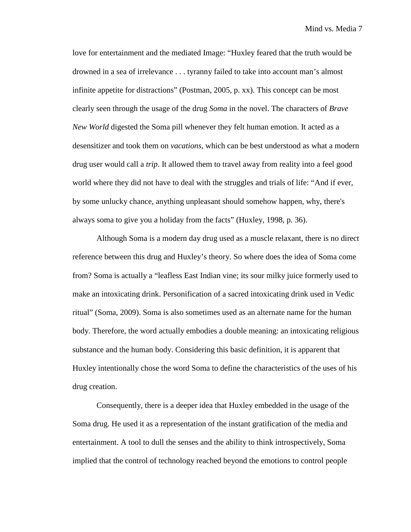love for entertainment and the mediated Image: "Huxley feared that the truth would be drowned in a sea of irrelevance . . . tyranny failed to take into account man's almost infinite appetite for distractions" (Postman, 2005, p. xx). This concept can be most clearly seen through the usage of the drug *Soma* in the novel. The characters of *Brave New World* digested the Soma pill whenever they felt human emotion. It acted as a desensitizer and took them on *vacations*, which can be best understood as what a modern drug user would call a *trip*. It allowed them to travel away from reality into a feel good world where they did not have to deal with the struggles and trials of life: "And if ever, by some unlucky chance, anything unpleasant should somehow happen, why, there's always soma to give you a holiday from the facts" (Huxley, 1998, p. 36).

Although Soma is a modern day drug used as a muscle relaxant, there is no direct reference between this drug and Huxley's theory. So where does the idea of Soma come from? Soma is actually a "leafless East Indian vine; its sour milky juice formerly used to make an intoxicating drink. Personification of a sacred intoxicating drink used in Vedic ritual" (Soma, 2009). Soma is also sometimes used as an alternate name for the human body. Therefore, the word actually embodies a double meaning: an intoxicating religious substance and the human body. Considering this basic definition, it is apparent that Huxley intentionally chose the word Soma to define the characteristics of the uses of his drug creation.

Consequently, there is a deeper idea that Huxley embedded in the usage of the Soma drug. He used it as a representation of the instant gratification of the media and entertainment. A tool to dull the senses and the ability to think introspectively, Soma implied that the control of technology reached beyond the emotions to control people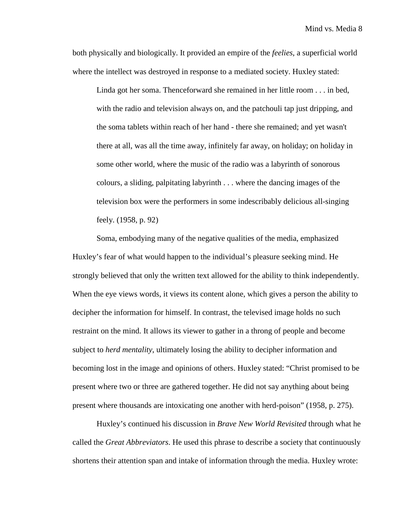both physically and biologically. It provided an empire of the *feelies*, a superficial world where the intellect was destroyed in response to a mediated society. Huxley stated:

Linda got her soma. Thenceforward she remained in her little room . . . in bed, with the radio and television always on, and the patchouli tap just dripping, and the soma tablets within reach of her hand - there she remained; and yet wasn't there at all, was all the time away, infinitely far away, on holiday; on holiday in some other world, where the music of the radio was a labyrinth of sonorous colours, a sliding, palpitating labyrinth . . . where the dancing images of the television box were the performers in some indescribably delicious all-singing feely. (1958, p. 92)

Soma, embodying many of the negative qualities of the media, emphasized Huxley's fear of what would happen to the individual's pleasure seeking mind. He strongly believed that only the written text allowed for the ability to think independently. When the eye views words, it views its content alone, which gives a person the ability to decipher the information for himself. In contrast, the televised image holds no such restraint on the mind. It allows its viewer to gather in a throng of people and become subject to *herd mentality*, ultimately losing the ability to decipher information and becoming lost in the image and opinions of others. Huxley stated: "Christ promised to be present where two or three are gathered together. He did not say anything about being present where thousands are intoxicating one another with herd-poison" (1958, p. 275).

Huxley's continued his discussion in *Brave New World Revisited* through what he called the *Great Abbreviators*. He used this phrase to describe a society that continuously shortens their attention span and intake of information through the media. Huxley wrote: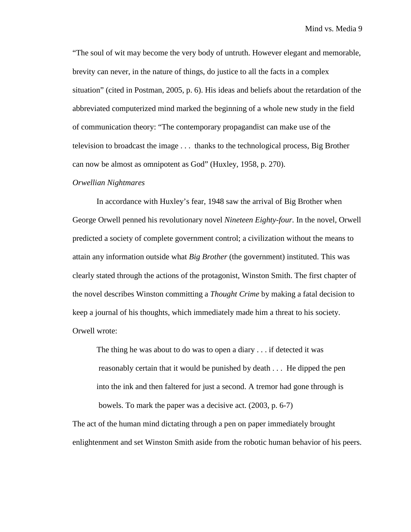"The soul of wit may become the very body of untruth. However elegant and memorable, brevity can never, in the nature of things, do justice to all the facts in a complex situation" (cited in Postman, 2005, p. 6). His ideas and beliefs about the retardation of the abbreviated computerized mind marked the beginning of a whole new study in the field of communication theory: "The contemporary propagandist can make use of the television to broadcast the image . . . thanks to the technological process, Big Brother can now be almost as omnipotent as God" (Huxley, 1958, p. 270).

#### *Orwellian Nightmares*

In accordance with Huxley's fear, 1948 saw the arrival of Big Brother when George Orwell penned his revolutionary novel *Nineteen Eighty-four.* In the novel, Orwell predicted a society of complete government control; a civilization without the means to attain any information outside what *Big Brother* (the government) instituted. This was clearly stated through the actions of the protagonist, Winston Smith. The first chapter of the novel describes Winston committing a *Thought Crime* by making a fatal decision to keep a journal of his thoughts, which immediately made him a threat to his society. Orwell wrote:

The thing he was about to do was to open a diary . . . if detected it was reasonably certain that it would be punished by death . . . He dipped the pen into the ink and then faltered for just a second. A tremor had gone through is bowels. To mark the paper was a decisive act. (2003, p. 6-7)

The act of the human mind dictating through a pen on paper immediately brought enlightenment and set Winston Smith aside from the robotic human behavior of his peers.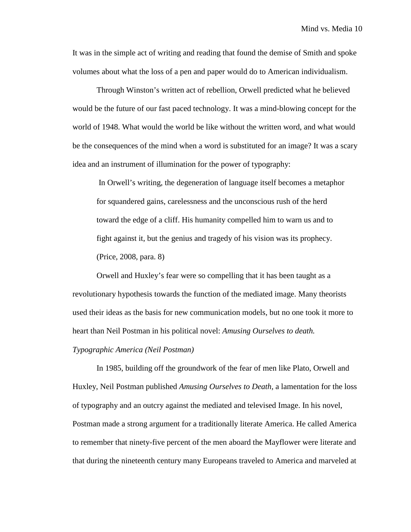It was in the simple act of writing and reading that found the demise of Smith and spoke volumes about what the loss of a pen and paper would do to American individualism.

Through Winston's written act of rebellion, Orwell predicted what he believed would be the future of our fast paced technology. It was a mind-blowing concept for the world of 1948. What would the world be like without the written word, and what would be the consequences of the mind when a word is substituted for an image? It was a scary idea and an instrument of illumination for the power of typography:

 In Orwell's writing, the degeneration of language itself becomes a metaphor for squandered gains, carelessness and the unconscious rush of the herd toward the edge of a cliff. His humanity compelled him to warn us and to fight against it, but the genius and tragedy of his vision was its prophecy. (Price, 2008, para. 8)

Orwell and Huxley's fear were so compelling that it has been taught as a revolutionary hypothesis towards the function of the mediated image. Many theorists used their ideas as the basis for new communication models, but no one took it more to heart than Neil Postman in his political novel: *Amusing Ourselves to death.* 

#### *Typographic America (Neil Postman)*

In 1985, building off the groundwork of the fear of men like Plato, Orwell and Huxley, Neil Postman published *Amusing Ourselves to Death*, a lamentation for the loss of typography and an outcry against the mediated and televised Image. In his novel, Postman made a strong argument for a traditionally literate America. He called America to remember that ninety-five percent of the men aboard the Mayflower were literate and that during the nineteenth century many Europeans traveled to America and marveled at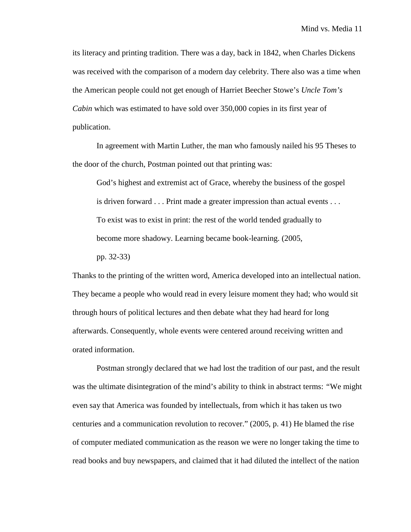its literacy and printing tradition. There was a day, back in 1842, when Charles Dickens was received with the comparison of a modern day celebrity. There also was a time when the American people could not get enough of Harriet Beecher Stowe's *Uncle Tom's Cabin* which was estimated to have sold over 350,000 copies in its first year of publication.

 In agreement with Martin Luther, the man who famously nailed his 95 Theses to the door of the church, Postman pointed out that printing was:

God's highest and extremist act of Grace, whereby the business of the gospel is driven forward . . . Print made a greater impression than actual events . . . To exist was to exist in print: the rest of the world tended gradually to become more shadowy. Learning became book-learning. (2005,

pp. 32-33)

Thanks to the printing of the written word, America developed into an intellectual nation. They became a people who would read in every leisure moment they had; who would sit through hours of political lectures and then debate what they had heard for long afterwards. Consequently, whole events were centered around receiving written and orated information.

 Postman strongly declared that we had lost the tradition of our past, and the result was the ultimate disintegration of the mind's ability to think in abstract terms: *"*We might even say that America was founded by intellectuals, from which it has taken us two centuries and a communication revolution to recover." (2005, p. 41) He blamed the rise of computer mediated communication as the reason we were no longer taking the time to read books and buy newspapers, and claimed that it had diluted the intellect of the nation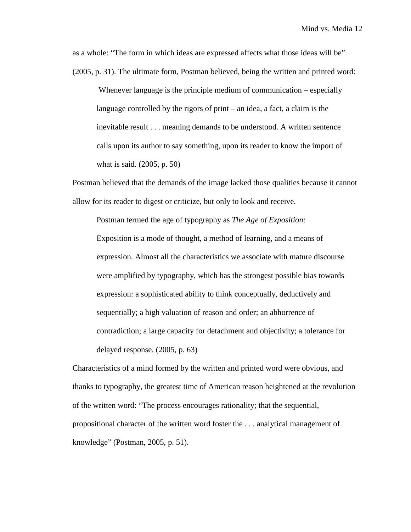as a whole: "The form in which ideas are expressed affects what those ideas will be" (2005, p. 31). The ultimate form, Postman believed, being the written and printed word:

 Whenever language is the principle medium of communication – especially language controlled by the rigors of print – an idea, a fact, a claim is the inevitable result . . . meaning demands to be understood. A written sentence calls upon its author to say something, upon its reader to know the import of what is said. (2005, p. 50)

Postman believed that the demands of the image lacked those qualities because it cannot allow for its reader to digest or criticize, but only to look and receive.

Postman termed the age of typography as *The Age of Exposition*: Exposition is a mode of thought, a method of learning, and a means of expression. Almost all the characteristics we associate with mature discourse were amplified by typography, which has the strongest possible bias towards expression: a sophisticated ability to think conceptually, deductively and sequentially; a high valuation of reason and order; an abhorrence of contradiction; a large capacity for detachment and objectivity; a tolerance for delayed response. (2005, p. 63)

Characteristics of a mind formed by the written and printed word were obvious, and thanks to typography, the greatest time of American reason heightened at the revolution of the written word: "The process encourages rationality; that the sequential, propositional character of the written word foster the . . . analytical management of knowledge" (Postman, 2005, p. 51).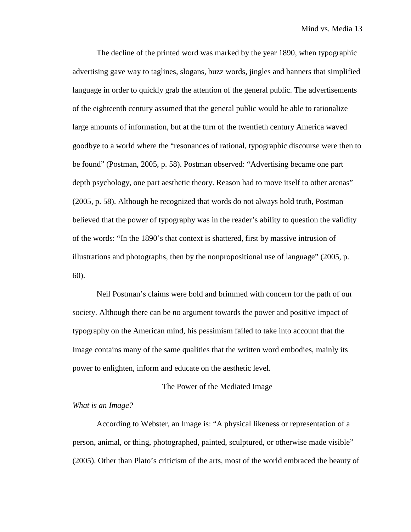The decline of the printed word was marked by the year 1890, when typographic advertising gave way to taglines, slogans, buzz words, jingles and banners that simplified language in order to quickly grab the attention of the general public. The advertisements of the eighteenth century assumed that the general public would be able to rationalize large amounts of information, but at the turn of the twentieth century America waved goodbye to a world where the "resonances of rational, typographic discourse were then to be found" (Postman, 2005, p. 58). Postman observed: "Advertising became one part depth psychology, one part aesthetic theory. Reason had to move itself to other arenas" (2005, p. 58). Although he recognized that words do not always hold truth, Postman believed that the power of typography was in the reader's ability to question the validity of the words: "In the 1890's that context is shattered, first by massive intrusion of illustrations and photographs, then by the nonpropositional use of language" (2005, p. 60).

Neil Postman's claims were bold and brimmed with concern for the path of our society. Although there can be no argument towards the power and positive impact of typography on the American mind, his pessimism failed to take into account that the Image contains many of the same qualities that the written word embodies, mainly its power to enlighten, inform and educate on the aesthetic level.

#### The Power of the Mediated Image

## *What is an Image?*

According to Webster, an Image is: "A physical likeness or representation of a person, animal, or thing, photographed, painted, sculptured, or otherwise made visible" (2005). Other than Plato's criticism of the arts, most of the world embraced the beauty of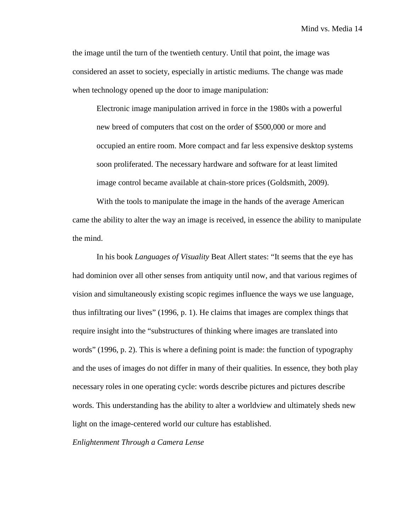the image until the turn of the twentieth century. Until that point, the image was considered an asset to society, especially in artistic mediums. The change was made when technology opened up the door to image manipulation:

Electronic image manipulation arrived in force in the 1980s with a powerful new breed of computers that cost on the order of \$500,000 or more and occupied an entire room. More compact and far less expensive desktop systems soon proliferated. The necessary hardware and software for at least limited image control became available at chain-store prices (Goldsmith, 2009).

With the tools to manipulate the image in the hands of the average American came the ability to alter the way an image is received, in essence the ability to manipulate the mind.

In his book *Languages of Visuality* Beat Allert states: "It seems that the eye has had dominion over all other senses from antiquity until now, and that various regimes of vision and simultaneously existing scopic regimes influence the ways we use language, thus infiltrating our lives" (1996, p. 1). He claims that images are complex things that require insight into the "substructures of thinking where images are translated into words" (1996, p. 2). This is where a defining point is made: the function of typography and the uses of images do not differ in many of their qualities. In essence, they both play necessary roles in one operating cycle: words describe pictures and pictures describe words. This understanding has the ability to alter a worldview and ultimately sheds new light on the image-centered world our culture has established.

*Enlightenment Through a Camera Lense*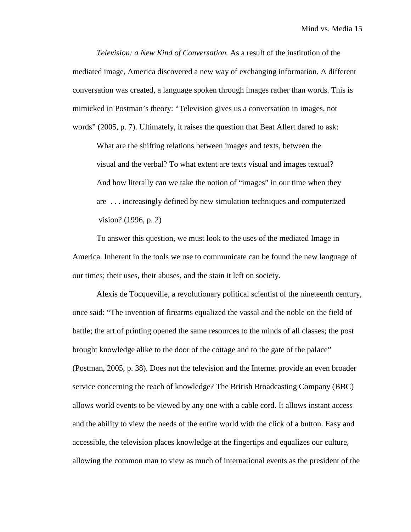*Television: a New Kind of Conversation.* As a result of the institution of the mediated image, America discovered a new way of exchanging information. A different conversation was created, a language spoken through images rather than words. This is mimicked in Postman's theory: "Television gives us a conversation in images, not words" (2005, p. 7). Ultimately, it raises the question that Beat Allert dared to ask:

What are the shifting relations between images and texts, between the visual and the verbal? To what extent are texts visual and images textual? And how literally can we take the notion of "images" in our time when they are . . . increasingly defined by new simulation techniques and computerized vision? (1996, p. 2)

To answer this question, we must look to the uses of the mediated Image in America. Inherent in the tools we use to communicate can be found the new language of our times; their uses, their abuses, and the stain it left on society.

Alexis de Tocqueville, a revolutionary political scientist of the nineteenth century, once said: "The invention of firearms equalized the vassal and the noble on the field of battle; the art of printing opened the same resources to the minds of all classes; the post brought knowledge alike to the door of the cottage and to the gate of the palace" (Postman, 2005, p. 38). Does not the television and the Internet provide an even broader service concerning the reach of knowledge? The British Broadcasting Company (BBC) allows world events to be viewed by any one with a cable cord. It allows instant access and the ability to view the needs of the entire world with the click of a button. Easy and accessible, the television places knowledge at the fingertips and equalizes our culture, allowing the common man to view as much of international events as the president of the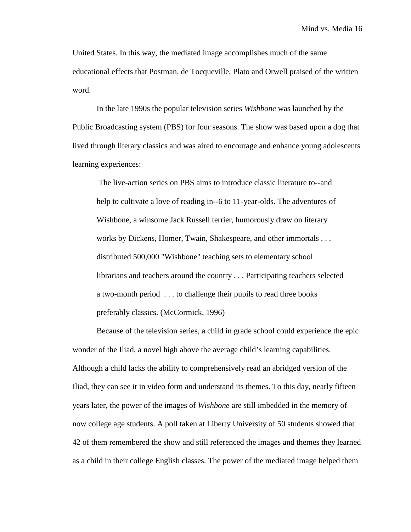United States. In this way, the mediated image accomplishes much of the same educational effects that Postman, de Tocqueville, Plato and Orwell praised of the written word.

In the late 1990s the popular television series *Wishbone* was launched by the Public Broadcasting system (PBS) for four seasons. The show was based upon a dog that lived through literary classics and was aired to encourage and enhance young adolescents learning experiences:

 The live-action series on PBS aims to introduce classic literature to--and help to cultivate a love of reading in--6 to 11-year-olds. The adventures of Wishbone, a winsome Jack Russell terrier, humorously draw on literary works by Dickens, Homer, Twain, Shakespeare, and other immortals . . . distributed 500,000 "Wishbone" teaching sets to elementary school librarians and teachers around the country . . . Participating teachers selected a two-month period . . . to challenge their pupils to read three books preferably classics. (McCormick, 1996)

Because of the television series, a child in grade school could experience the epic wonder of the Iliad, a novel high above the average child's learning capabilities. Although a child lacks the ability to comprehensively read an abridged version of the Iliad, they can see it in video form and understand its themes. To this day, nearly fifteen years later, the power of the images of *Wishbone* are still imbedded in the memory of now college age students. A poll taken at Liberty University of 50 students showed that 42 of them remembered the show and still referenced the images and themes they learned as a child in their college English classes. The power of the mediated image helped them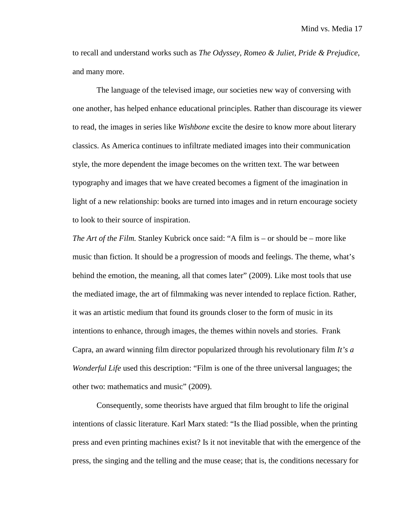to recall and understand works such as *The Odyssey, Romeo & Juliet, Pride & Prejudice*, and many more.

The language of the televised image, our societies new way of conversing with one another, has helped enhance educational principles. Rather than discourage its viewer to read, the images in series like *Wishbone* excite the desire to know more about literary classics. As America continues to infiltrate mediated images into their communication style, the more dependent the image becomes on the written text. The war between typography and images that we have created becomes a figment of the imagination in light of a new relationship: books are turned into images and in return encourage society to look to their source of inspiration.

*The Art of the Film.* Stanley Kubrick once said: "A film is – or should be – more like music than fiction. It should be a progression of moods and feelings. The theme, what's behind the emotion, the meaning, all that comes later" (2009). Like most tools that use the mediated image, the art of filmmaking was never intended to replace fiction. Rather, it was an artistic medium that found its grounds closer to the form of music in its intentions to enhance, through images, the themes within novels and stories. Frank Capra, an award winning film director popularized through his revolutionary film *It's a Wonderful Life* used this description: "Film is one of the three universal languages; the other two: mathematics and music" (2009).

Consequently, some theorists have argued that film brought to life the original intentions of classic literature. Karl Marx stated: "Is the Iliad possible, when the printing press and even printing machines exist? Is it not inevitable that with the emergence of the press, the singing and the telling and the muse cease; that is, the conditions necessary for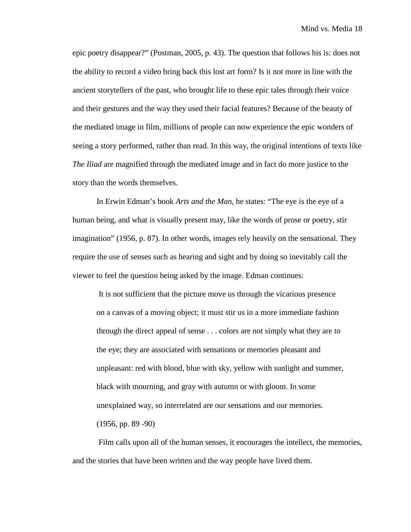epic poetry disappear?" (Postman, 2005, p. 43). The question that follows his is: does not the ability to record a video bring back this lost art form? Is it not more in line with the ancient storytellers of the past, who brought life to these epic tales through their voice and their gestures and the way they used their facial features? Because of the beauty of the mediated image in film, millions of people can now experience the epic wonders of seeing a story performed, rather than read. In this way, the original intentions of texts like *The Iliad* are magnified through the mediated image and in fact do more justice to the story than the words themselves.

In Erwin Edman's book *Arts and the Man*, he states: "The eye is the eye of a human being, and what is visually present may, like the words of prose or poetry, stir imagination" (1956, p. 87). In other words, images rely heavily on the sensational. They require the use of senses such as hearing and sight and by doing so inevitably call the viewer to feel the question being asked by the image. Edman continues:

 It is not sufficient that the picture move us through the vicarious presence on a canvas of a moving object; it must stir us in a more immediate fashion through the direct appeal of sense . . . colors are not simply what they are to the eye; they are associated with sensations or memories pleasant and unpleasant: red with blood, blue with sky, yellow with sunlight and summer, black with mourning, and gray with autumn or with gloom. In some unexplained way, so interrelated are our sensations and our memories.  $(1956, pp. 89 - 90)$ 

 Film calls upon all of the human senses, it encourages the intellect, the memories, and the stories that have been written and the way people have lived them.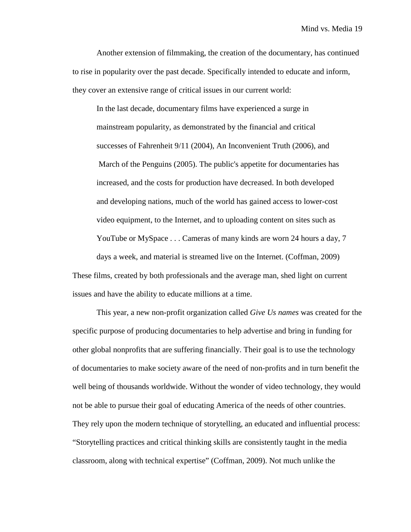Another extension of filmmaking, the creation of the documentary, has continued to rise in popularity over the past decade. Specifically intended to educate and inform, they cover an extensive range of critical issues in our current world:

In the last decade, documentary films have experienced a surge in mainstream popularity, as demonstrated by the financial and critical successes of Fahrenheit 9/11 (2004), An Inconvenient Truth (2006), and March of the Penguins (2005). The public's appetite for documentaries has increased, and the costs for production have decreased. In both developed and developing nations, much of the world has gained access to lower-cost video equipment, to the Internet, and to uploading content on sites such as YouTube or MySpace . . . Cameras of many kinds are worn 24 hours a day, 7 days a week, and material is streamed live on the Internet. (Coffman, 2009) These films, created by both professionals and the average man, shed light on current issues and have the ability to educate millions at a time.

This year, a new non-profit organization called *Give Us names* was created for the specific purpose of producing documentaries to help advertise and bring in funding for other global nonprofits that are suffering financially. Their goal is to use the technology of documentaries to make society aware of the need of non-profits and in turn benefit the well being of thousands worldwide. Without the wonder of video technology, they would not be able to pursue their goal of educating America of the needs of other countries. They rely upon the modern technique of storytelling, an educated and influential process: "Storytelling practices and critical thinking skills are consistently taught in the media classroom, along with technical expertise" (Coffman, 2009). Not much unlike the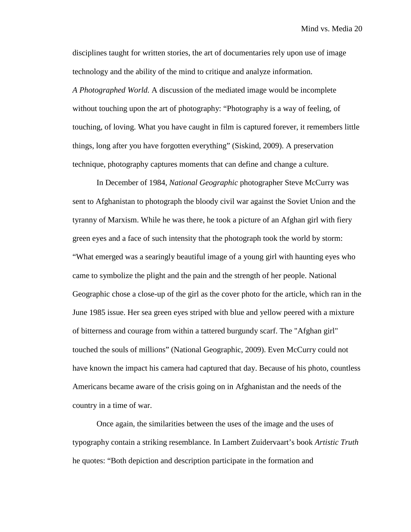disciplines taught for written stories, the art of documentaries rely upon use of image technology and the ability of the mind to critique and analyze information. *A Photographed World.* A discussion of the mediated image would be incomplete without touching upon the art of photography: "Photography is a way of feeling, of touching, of loving. What you have caught in film is captured forever, it remembers little things, long after you have forgotten everything" (Siskind, 2009). A preservation technique, photography captures moments that can define and change a culture.

In December of 1984, *National Geographic* photographer Steve McCurry was sent to Afghanistan to photograph the bloody civil war against the Soviet Union and the tyranny of Marxism. While he was there, he took a picture of an Afghan girl with fiery green eyes and a face of such intensity that the photograph took the world by storm: "What emerged was a searingly beautiful image of a young girl with haunting eyes who came to symbolize the plight and the pain and the strength of her people. National Geographic chose a close-up of the girl as the cover photo for the article, which ran in the June 1985 issue. Her sea green eyes striped with blue and yellow peered with a mixture of bitterness and courage from within a tattered burgundy scarf. The "Afghan girl" touched the souls of millions" (National Geographic, 2009). Even McCurry could not have known the impact his camera had captured that day. Because of his photo, countless Americans became aware of the crisis going on in Afghanistan and the needs of the country in a time of war.

Once again, the similarities between the uses of the image and the uses of typography contain a striking resemblance. In Lambert Zuidervaart's book *Artistic Truth* he quotes: "Both depiction and description participate in the formation and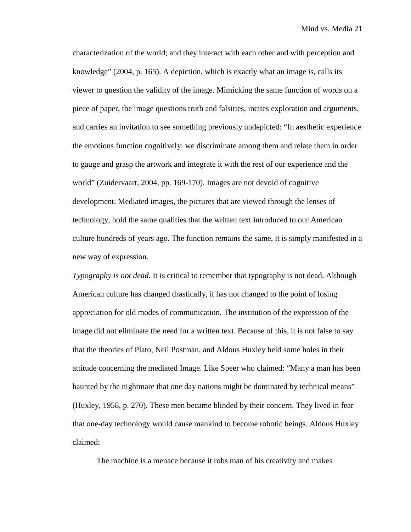characterization of the world; and they interact with each other and with perception and knowledge" (2004, p. 165). A depiction, which is exactly what an image is, calls its viewer to question the validity of the image. Mimicking the same function of words on a piece of paper, the image questions truth and falsities, incites exploration and arguments, and carries an invitation to see something previously undepicted: "In aesthetic experience the emotions function cognitively: we discriminate among them and relate them in order to gauge and grasp the artwork and integrate it with the rest of our experience and the world" (Zuidervaart, 2004, pp. 169-170). Images are not devoid of cognitive development. Mediated images, the pictures that are viewed through the lenses of technology, hold the same qualities that the written text introduced to our American culture hundreds of years ago. The function remains the same, it is simply manifested in a new way of expression.

*Typography is not dead.* It is critical to remember that typography is not dead. Although American culture has changed drastically, it has not changed to the point of losing appreciation for old modes of communication. The institution of the expression of the image did not eliminate the need for a written text. Because of this, it is not false to say that the theories of Plato, Neil Postman, and Aldous Huxley held some holes in their attitude concerning the mediated Image. Like Speer who claimed: "Many a man has been haunted by the nightmare that one day nations might be dominated by technical means" (Huxley, 1958, p. 270). These men became blinded by their concern. They lived in fear that one-day technology would cause mankind to become robotic beings. Aldous Huxley claimed:

The machine is a menace because it robs man of his creativity and makes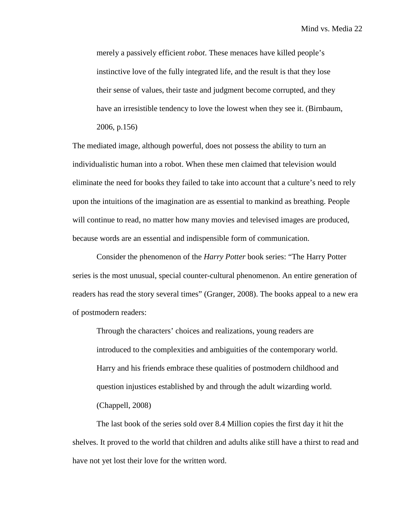merely a passively efficient *robot*. These menaces have killed people's instinctive love of the fully integrated life, and the result is that they lose their sense of values, their taste and judgment become corrupted, and they have an irresistible tendency to love the lowest when they see it. (Birnbaum, 2006, p.156)

The mediated image, although powerful, does not possess the ability to turn an individualistic human into a robot. When these men claimed that television would eliminate the need for books they failed to take into account that a culture's need to rely upon the intuitions of the imagination are as essential to mankind as breathing. People will continue to read, no matter how many movies and televised images are produced, because words are an essential and indispensible form of communication.

Consider the phenomenon of the *Harry Potter* book series: "The Harry Potter series is the most unusual, special counter-cultural phenomenon. An entire generation of readers has read the story several times" (Granger, 2008). The books appeal to a new era of postmodern readers:

Through the characters' choices and realizations, young readers are introduced to the complexities and ambiguities of the contemporary world. Harry and his friends embrace these qualities of postmodern childhood and question injustices established by and through the adult wizarding world. (Chappell, 2008)

The last book of the series sold over 8.4 Million copies the first day it hit the shelves. It proved to the world that children and adults alike still have a thirst to read and have not yet lost their love for the written word.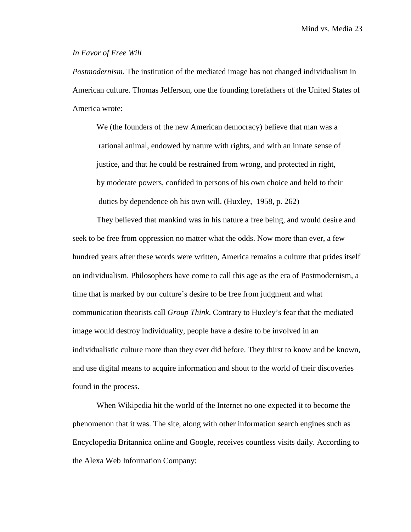### *In Favor of Free Will*

*Postmodernism.* The institution of the mediated image has not changed individualism in American culture. Thomas Jefferson, one the founding forefathers of the United States of America wrote:

We (the founders of the new American democracy) believe that man was a rational animal, endowed by nature with rights, and with an innate sense of justice, and that he could be restrained from wrong, and protected in right, by moderate powers, confided in persons of his own choice and held to their duties by dependence oh his own will. (Huxley, 1958, p. 262)

They believed that mankind was in his nature a free being, and would desire and seek to be free from oppression no matter what the odds. Now more than ever, a few hundred years after these words were written, America remains a culture that prides itself on individualism. Philosophers have come to call this age as the era of Postmodernism, a time that is marked by our culture's desire to be free from judgment and what communication theorists call *Group Think*. Contrary to Huxley's fear that the mediated image would destroy individuality, people have a desire to be involved in an individualistic culture more than they ever did before. They thirst to know and be known, and use digital means to acquire information and shout to the world of their discoveries found in the process.

When Wikipedia hit the world of the Internet no one expected it to become the phenomenon that it was. The site, along with other information search engines such as Encyclopedia Britannica online and Google, receives countless visits daily. According to the Alexa Web Information Company: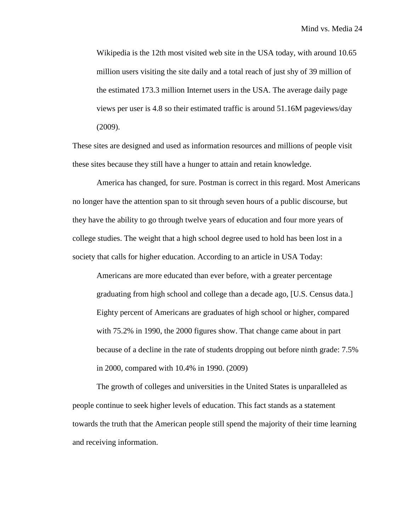Wikipedia is the 12th most visited web site in the USA today, with around 10.65 million users visiting the site daily and a total reach of just shy of 39 million of the estimated 173.3 million Internet users in the USA. The average daily page views per user is 4.8 so their estimated traffic is around 51.16M pageviews/day (2009).

These sites are designed and used as information resources and millions of people visit these sites because they still have a hunger to attain and retain knowledge.

America has changed, for sure. Postman is correct in this regard. Most Americans no longer have the attention span to sit through seven hours of a public discourse, but they have the ability to go through twelve years of education and four more years of college studies. The weight that a high school degree used to hold has been lost in a society that calls for higher education. According to an article in USA Today:

Americans are more educated than ever before, with a greater percentage graduating from high school and college than a decade ago, [U.S. Census data.] Eighty percent of Americans are graduates of high school or higher, compared with 75.2% in 1990, the 2000 figures show. That change came about in part because of a decline in the rate of students dropping out before ninth grade: 7.5% in 2000, compared with 10.4% in 1990. (2009)

The growth of colleges and universities in the United States is unparalleled as people continue to seek higher levels of education. This fact stands as a statement towards the truth that the American people still spend the majority of their time learning and receiving information.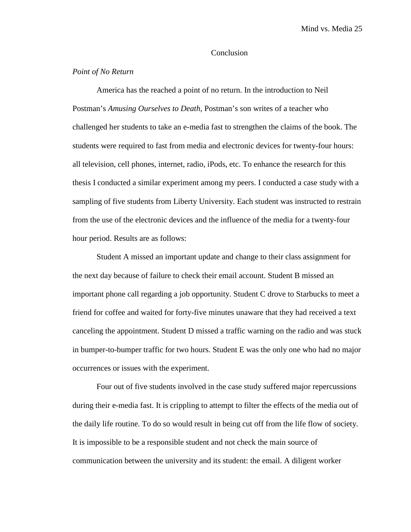# **Conclusion**

## *Point of No Return*

America has the reached a point of no return. In the introduction to Neil Postman's *Amusing Ourselves to Death*, Postman's son writes of a teacher who challenged her students to take an e-media fast to strengthen the claims of the book. The students were required to fast from media and electronic devices for twenty-four hours: all television, cell phones, internet, radio, iPods, etc. To enhance the research for this thesis I conducted a similar experiment among my peers. I conducted a case study with a sampling of five students from Liberty University. Each student was instructed to restrain from the use of the electronic devices and the influence of the media for a twenty-four hour period. Results are as follows:

Student A missed an important update and change to their class assignment for the next day because of failure to check their email account. Student B missed an important phone call regarding a job opportunity. Student C drove to Starbucks to meet a friend for coffee and waited for forty-five minutes unaware that they had received a text canceling the appointment. Student D missed a traffic warning on the radio and was stuck in bumper-to-bumper traffic for two hours. Student E was the only one who had no major occurrences or issues with the experiment.

Four out of five students involved in the case study suffered major repercussions during their e-media fast. It is crippling to attempt to filter the effects of the media out of the daily life routine. To do so would result in being cut off from the life flow of society. It is impossible to be a responsible student and not check the main source of communication between the university and its student: the email. A diligent worker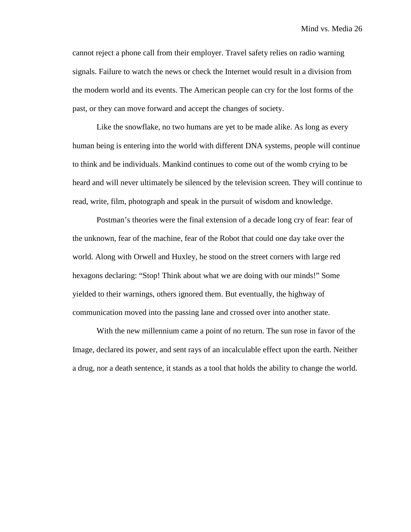cannot reject a phone call from their employer. Travel safety relies on radio warning signals. Failure to watch the news or check the Internet would result in a division from the modern world and its events. The American people can cry for the lost forms of the past, or they can move forward and accept the changes of society.

Like the snowflake, no two humans are yet to be made alike. As long as every human being is entering into the world with different DNA systems, people will continue to think and be individuals. Mankind continues to come out of the womb crying to be heard and will never ultimately be silenced by the television screen. They will continue to read, write, film, photograph and speak in the pursuit of wisdom and knowledge.

Postman's theories were the final extension of a decade long cry of fear: fear of the unknown, fear of the machine, fear of the Robot that could one day take over the world. Along with Orwell and Huxley, he stood on the street corners with large red hexagons declaring: "Stop! Think about what we are doing with our minds!" Some yielded to their warnings, others ignored them. But eventually, the highway of communication moved into the passing lane and crossed over into another state.

With the new millennium came a point of no return. The sun rose in favor of the Image, declared its power, and sent rays of an incalculable effect upon the earth. Neither a drug, nor a death sentence, it stands as a tool that holds the ability to change the world.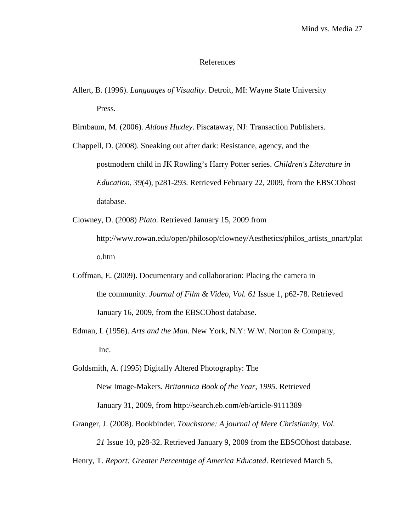### References

Allert, B. (1996). *Languages of Visuality.* Detroit, MI: Wayne State University Press.

Birnbaum, M. (2006). *Aldous Huxley*. Piscataway, NJ: Transaction Publishers.

- Chappell, D. (2008). Sneaking out after dark: Resistance, agency, and the postmodern child in JK Rowling's Harry Potter series. *Children's Literature in Education*, *39*(4), p281-293. Retrieved February 22, 2009, from the EBSCOhost database.
- Clowney, D. (2008) *Plato.* Retrieved January 15, 2009 from http://www.rowan.edu/open/philosop/clowney/Aesthetics/philos\_artists\_onart/plat o.htm
- Coffman, E. (2009). Documentary and collaboration: Placing the camera in the community. *Journal of Film & Video*, *Vol. 61* Issue 1, p62-78. Retrieved January 16, 2009, from the EBSCOhost database.
- Edman, I. (1956). *Arts and the Man*. New York, N.Y: W.W. Norton & Company, Inc.
- Goldsmith, A. (1995) Digitally Altered Photography: The New Image-Makers. *Britannica Book of the Year, 1995.* Retrieved January 31, 2009, from http://search.eb.com/eb/article-9111389
- Granger, J. (2008). Bookbinder. *Touchstone: A journal of Mere Christianity*, *Vol. 21* Issue 10, p28-32. Retrieved January 9, 2009 from the EBSCOhost database.

Henry, T. *Report: Greater Percentage of America Educated*. Retrieved March 5,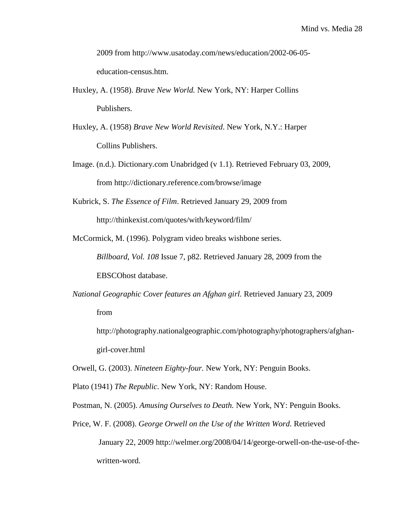2009 from http://www.usatoday.com/news/education/2002-06-05 education-census.htm.

- Huxley, A. (1958). *Brave New World.* New York, NY: Harper Collins Publishers.
- Huxley, A. (1958) *Brave New World Revisited*. New York, N.Y.: Harper Collins Publishers.
- Image. (n.d.). Dictionary.com Unabridged (v 1.1). Retrieved February 03, 2009, from http://dictionary.reference.com/browse/image
- Kubrick, S. *The Essence of Film*. Retrieved January 29, 2009 from http://thinkexist.com/quotes/with/keyword/film/
- McCormick, M. (1996). Polygram video breaks wishbone series.
	- *Billboard*, *Vol. 108* Issue 7, p82. Retrieved January 28, 2009 from the EBSCOhost database.
- *National Geographic Cover features an Afghan girl.* Retrieved January 23, 2009 from
	- http://photography.nationalgeographic.com/photography/photographers/afghangirl-cover.html
- Orwell, G. (2003). *Nineteen Eighty-four.* New York, NY: Penguin Books.
- Plato (1941) *The Republic*. New York, NY: Random House.
- Postman, N. (2005). *Amusing Ourselves to Death.* New York, NY: Penguin Books.
- Price, W. F. (2008). *George Orwell on the Use of the Written Word*. Retrieved January 22, 2009 http://welmer.org/2008/04/14/george-orwell-on-the-use-of-thewritten-word.